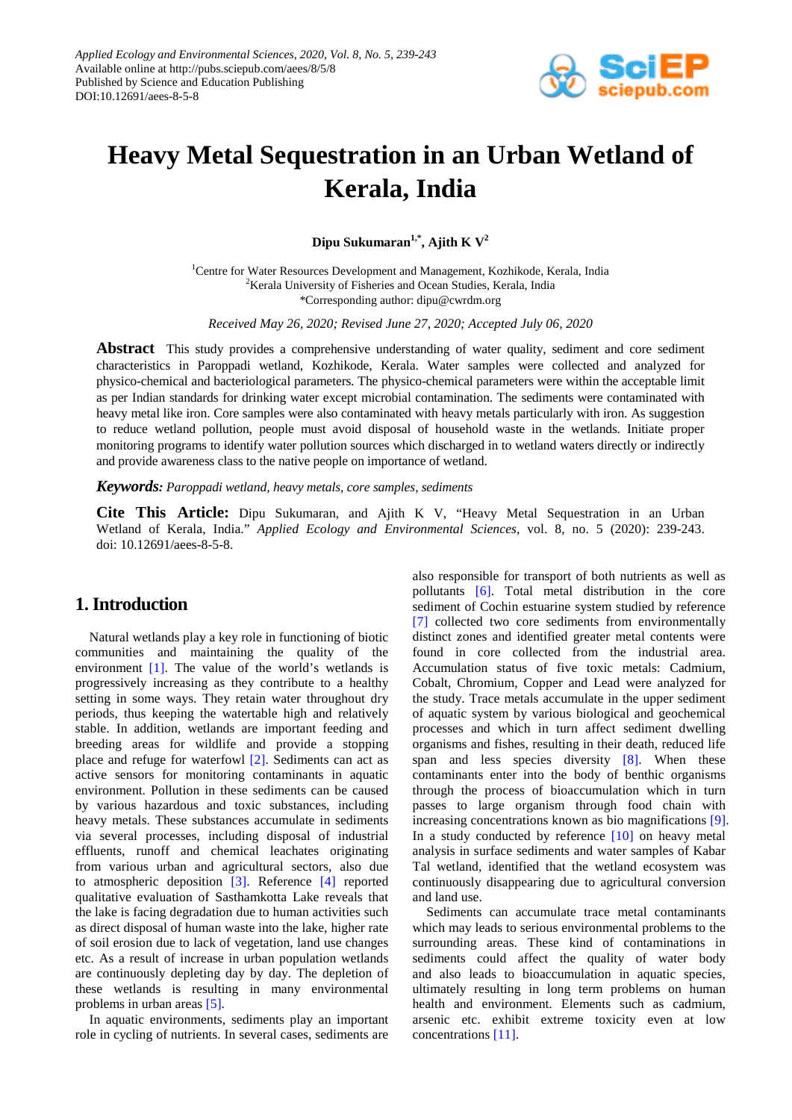

# **Heavy Metal Sequestration in an Urban Wetland of Kerala, India**

Dipu Sukumaran<sup>1,\*</sup>, Ajith K  $V^2$ 

<sup>1</sup>Centre for Water Resources Development and Management, Kozhikode, Kerala, India <sup>2</sup>Kerala University of Fisheries and Ocean Studies, Kerala, India \*Corresponding author: dipu@cwrdm.org

*Received May 26, 2020; Revised June 27, 2020; Accepted July 06, 2020*

**Abstract** This study provides a comprehensive understanding of water quality, sediment and core sediment characteristics in Paroppadi wetland, Kozhikode, Kerala. Water samples were collected and analyzed for physico-chemical and bacteriological parameters. The physico-chemical parameters were within the acceptable limit as per Indian standards for drinking water except microbial contamination. The sediments were contaminated with heavy metal like iron. Core samples were also contaminated with heavy metals particularly with iron. As suggestion to reduce wetland pollution, people must avoid disposal of household waste in the wetlands. Initiate proper monitoring programs to identify water pollution sources which discharged in to wetland waters directly or indirectly and provide awareness class to the native people on importance of wetland.

*Keywords: Paroppadi wetland, heavy metals, core samples, sediments*

**Cite This Article:** Dipu Sukumaran, and Ajith K V, "Heavy Metal Sequestration in an Urban Wetland of Kerala, India." *Applied Ecology and Environmental Sciences*, vol. 8, no. 5 (2020): 239-243. doi: 10.12691/aees-8-5-8.

# **1. Introduction**

Natural wetlands play a key role in functioning of biotic communities and maintaining the quality of the environment [\[1\].](#page-3-0) The value of the world's wetlands is progressively increasing as they contribute to a healthy setting in some ways. They retain water throughout dry periods, thus keeping the watertable high and relatively stable. In addition, wetlands are important feeding and breeding areas for wildlife and provide a stopping place and refuge for waterfowl [\[2\].](#page-3-1) Sediments can act as active sensors for monitoring contaminants in aquatic environment. Pollution in these sediments can be caused by various hazardous and toxic substances, including heavy metals. These substances accumulate in sediments via several processes, including disposal of industrial effluents, runoff and chemical leachates originating from various urban and agricultural sectors, also due to atmospheric deposition [\[3\].](#page-4-0) Reference [\[4\]](#page-4-1) reported qualitative evaluation of Sasthamkotta Lake reveals that the lake is facing degradation due to human activities such as direct disposal of human waste into the lake, higher rate of soil erosion due to lack of vegetation, land use changes etc. As a result of increase in urban population wetlands are continuously depleting day by day. The depletion of these wetlands is resulting in many environmental problems in urban areas [\[5\].](#page-4-2)

In aquatic environments, sediments play an important role in cycling of nutrients. In several cases, sediments are

also responsible for transport of both nutrients as well as pollutants [\[6\].](#page-4-3) Total metal distribution in the core sediment of Cochin estuarine system studied by reference [\[7\]](#page-4-4) collected two core sediments from environmentally distinct zones and identified greater metal contents were found in core collected from the industrial area. Accumulation status of five toxic metals: Cadmium, Cobalt, Chromium, Copper and Lead were analyzed for the study. Trace metals accumulate in the upper sediment of aquatic system by various biological and geochemical processes and which in turn affect sediment dwelling organisms and fishes, resulting in their death, reduced life span and less species diversity [\[8\].](#page-4-5) When these contaminants enter into the body of benthic organisms through the process of bioaccumulation which in turn passes to large organism through food chain with increasing concentrations known as bio magnifications [\[9\].](#page-4-6) In a study conducted by reference  $[10]$  on heavy metal analysis in surface sediments and water samples of Kabar Tal wetland, identified that the wetland ecosystem was continuously disappearing due to agricultural conversion and land use.

Sediments can accumulate trace metal contaminants which may leads to serious environmental problems to the surrounding areas. These kind of contaminations in sediments could affect the quality of water body and also leads to bioaccumulation in aquatic species, ultimately resulting in long term problems on human health and environment. Elements such as cadmium, arsenic etc. exhibit extreme toxicity even at low concentrations [\[11\].](#page-4-8)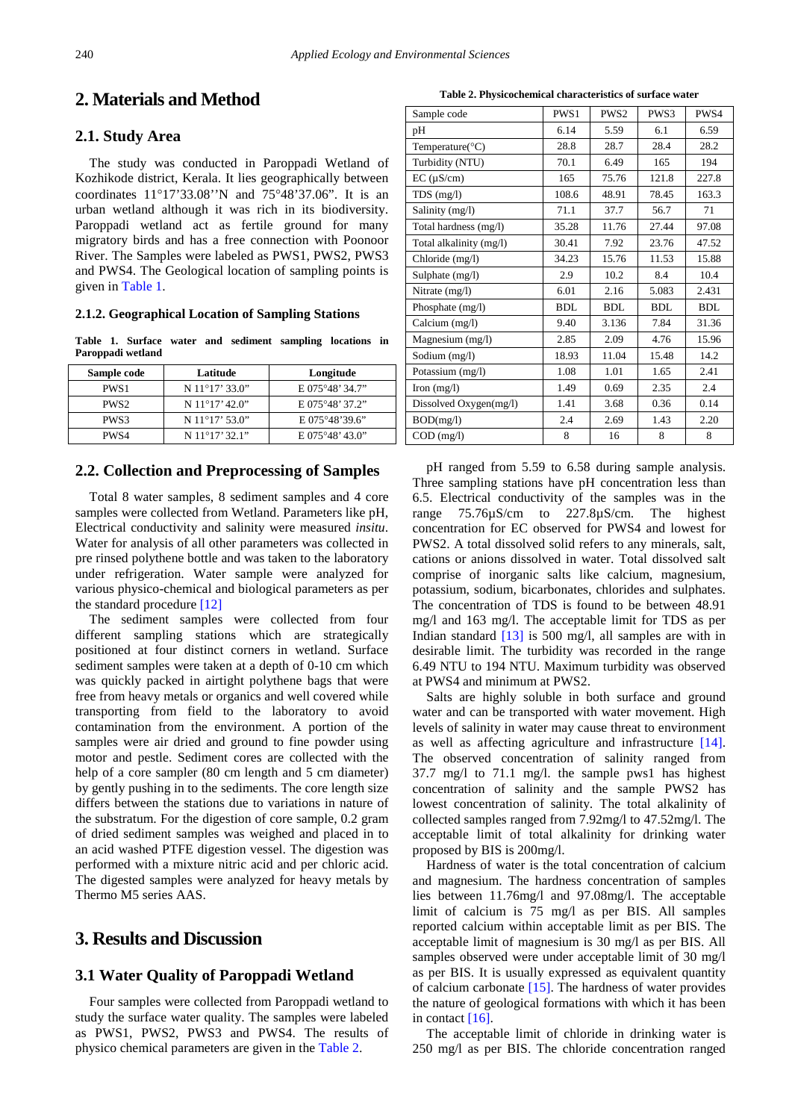# **2. Materials and Method**

#### **2.1. Study Area**

The study was conducted in Paroppadi Wetland of Kozhikode district, Kerala. It lies geographically between coordinates 11°17'33.08''N and 75°48'37.06". It is an urban wetland although it was rich in its biodiversity. Paroppadi wetland act as fertile ground for many migratory birds and has a free connection with Poonoor River. The Samples were labeled as PWS1, PWS2, PWS3 and PWS4. The Geological location of sampling points is given i[n Table 1.](#page-1-0)

#### **2.1.2. Geographical Location of Sampling Stations**

**Table 1. Surface water and sediment sampling locations in Paroppadi wetland**

<span id="page-1-0"></span>

| Sample code      | Latitude                | Longitude                 |
|------------------|-------------------------|---------------------------|
| PWS <sub>1</sub> | $N 11^{\circ}17' 33.0"$ | E 075°48' 34.7"           |
| PWS <sub>2</sub> | $N 11^{\circ}17' 42.0"$ | E 075°48' 37.2"           |
| PWS3             | $N 11^{\circ}17' 53.0"$ | E 075°48'39.6"            |
| PWS4             | $N 11^{\circ}17' 32.1"$ | E 075 $\degree$ 48' 43.0" |

## **2.2. Collection and Preprocessing of Samples**

Total 8 water samples, 8 sediment samples and 4 core samples were collected from Wetland. Parameters like pH, Electrical conductivity and salinity were measured *insitu*. Water for analysis of all other parameters was collected in pre rinsed polythene bottle and was taken to the laboratory under refrigeration. Water sample were analyzed for various physico-chemical and biological parameters as per the standard procedure [\[12\]](#page-4-9)

The sediment samples were collected from four different sampling stations which are strategically positioned at four distinct corners in wetland. Surface sediment samples were taken at a depth of 0-10 cm which was quickly packed in airtight polythene bags that were free from heavy metals or organics and well covered while transporting from field to the laboratory to avoid contamination from the environment. A portion of the samples were air dried and ground to fine powder using motor and pestle. Sediment cores are collected with the help of a core sampler (80 cm length and 5 cm diameter) by gently pushing in to the sediments. The core length size differs between the stations due to variations in nature of the substratum. For the digestion of core sample, 0.2 gram of dried sediment samples was weighed and placed in to an acid washed PTFE digestion vessel. The digestion was performed with a mixture nitric acid and per chloric acid. The digested samples were analyzed for heavy metals by Thermo M5 series AAS.

# **3. Results and Discussion**

#### **3.1 Water Quality of Paroppadi Wetland**

Four samples were collected from Paroppadi wetland to study the surface water quality. The samples were labeled as PWS1, PWS2, PWS3 and PWS4. The results of physico chemical parameters are given in th[e Table 2.](#page-1-1)

<span id="page-1-1"></span>

| Sample code                  | PWS1       | PWS <sub>2</sub> | PWS3       | PWS4       |
|------------------------------|------------|------------------|------------|------------|
| pH                           | 6.14       | 5.59             | 6.1        | 6.59       |
| Temperature( ${}^{\circ}$ C) | 28.8       | 28.7             | 28.4       | 28.2       |
| Turbidity (NTU)              | 70.1       | 6.49             | 165        | 194        |
| $EC (\mu S/cm)$              | 165        | 75.76            | 121.8      | 227.8      |
| $TDS$ (mg/l)                 | 108.6      | 48.91            | 78.45      | 163.3      |
| Salinity (mg/l)              | 71.1       | 37.7             | 56.7       | 71         |
| Total hardness (mg/l)        | 35.28      | 11.76            | 27.44      | 97.08      |
| Total alkalinity (mg/l)      | 30.41      | 7.92             | 23.76      | 47.52      |
| Chloride (mg/l)              | 34.23      | 15.76            | 11.53      | 15.88      |
| Sulphate (mg/l)              | 2.9        | 10.2             | 8.4        | 10.4       |
| Nitrate (mg/l)               | 6.01       | 2.16             | 5.083      | 2.431      |
| Phosphate (mg/l)             | <b>BDL</b> | <b>BDL</b>       | <b>BDL</b> | <b>BDL</b> |
| Calcium (mg/l)               | 9.40       | 3.136            | 7.84       | 31.36      |
| Magnesium (mg/l)             | 2.85       | 2.09             | 4.76       | 15.96      |
| Sodium (mg/l)                | 18.93      | 11.04            | 15.48      | 14.2       |
| Potassium (mg/l)             | 1.08       | 1.01             | 1.65       | 2.41       |
| Iron $(mg/l)$                | 1.49       | 0.69             | 2.35       | 2.4        |
| Dissolved Oxygen(mg/l)       | 1.41       | 3.68             | 0.36       | 0.14       |
| BOD(mg/l)                    | 2.4        | 2.69             | 1.43       | 2.20       |
| $COD$ (mg/l)                 | 8          | 16               | 8          | 8          |

pH ranged from 5.59 to 6.58 during sample analysis. Three sampling stations have pH concentration less than 6.5. Electrical conductivity of the samples was in the range 75.76µS/cm to 227.8µS/cm. The highest concentration for EC observed for PWS4 and lowest for PWS2. A total dissolved solid refers to any minerals, salt, cations or anions dissolved in water. Total dissolved salt comprise of inorganic salts like calcium, magnesium, potassium, sodium, bicarbonates, chlorides and sulphates. The concentration of TDS is found to be between 48.91 mg/l and 163 mg/l. The acceptable limit for TDS as per Indian standard [\[13\]](#page-4-10) is 500 mg/l, all samples are with in desirable limit. The turbidity was recorded in the range 6.49 NTU to 194 NTU. Maximum turbidity was observed at PWS4 and minimum at PWS2.

Salts are highly soluble in both surface and ground water and can be transported with water movement. High levels of salinity in water may cause threat to environment as well as affecting agriculture and infrastructure [\[14\].](#page-4-11) The observed concentration of salinity ranged from 37.7 mg/l to 71.1 mg/l. the sample pws1 has highest concentration of salinity and the sample PWS2 has lowest concentration of salinity. The total alkalinity of collected samples ranged from 7.92mg/l to 47.52mg/l. The acceptable limit of total alkalinity for drinking water proposed by BIS is 200mg/l.

Hardness of water is the total concentration of calcium and magnesium. The hardness concentration of samples lies between 11.76mg/l and 97.08mg/l. The acceptable limit of calcium is 75 mg/l as per BIS. All samples reported calcium within acceptable limit as per BIS. The acceptable limit of magnesium is 30 mg/l as per BIS. All samples observed were under acceptable limit of 30 mg/l as per BIS. It is usually expressed as equivalent quantity of calcium carbonate [\[15\].](#page-4-12) The hardness of water provides the nature of geological formations with which it has been in contact [\[16\].](#page-4-13)

The acceptable limit of chloride in drinking water is 250 mg/l as per BIS. The chloride concentration ranged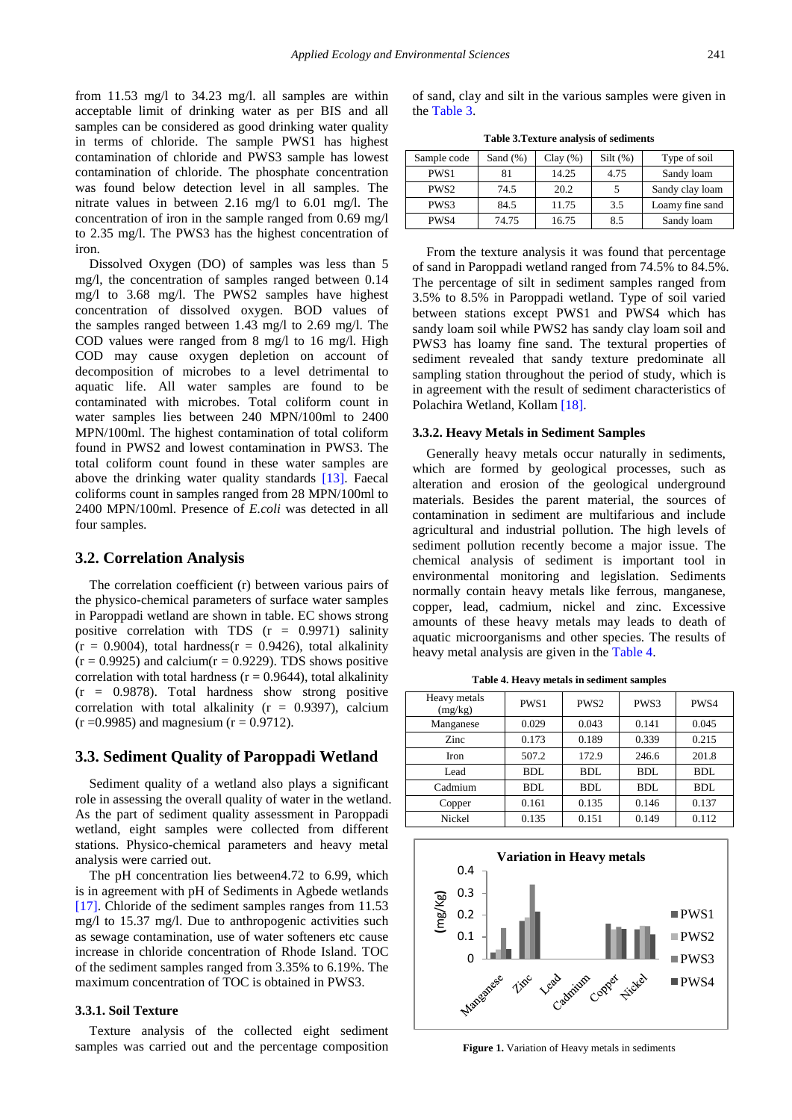from 11.53 mg/l to 34.23 mg/l. all samples are within acceptable limit of drinking water as per BIS and all samples can be considered as good drinking water quality in terms of chloride. The sample PWS1 has highest contamination of chloride and PWS3 sample has lowest contamination of chloride. The phosphate concentration was found below detection level in all samples. The nitrate values in between 2.16 mg/l to 6.01 mg/l. The concentration of iron in the sample ranged from 0.69 mg/l to 2.35 mg/l. The PWS3 has the highest concentration of iron.

Dissolved Oxygen (DO) of samples was less than 5 mg/l, the concentration of samples ranged between 0.14 mg/l to 3.68 mg/l. The PWS2 samples have highest concentration of dissolved oxygen. BOD values of the samples ranged between 1.43 mg/l to 2.69 mg/l. The COD values were ranged from 8 mg/l to 16 mg/l. High COD may cause oxygen depletion on account of decomposition of microbes to a level detrimental to aquatic life. All water samples are found to be contaminated with microbes. Total coliform count in water samples lies between 240 MPN/100ml to 2400 MPN/100ml. The highest contamination of total coliform found in PWS2 and lowest contamination in PWS3. The total coliform count found in these water samples are above the drinking water quality standards [\[13\].](#page-4-10) Faecal coliforms count in samples ranged from 28 MPN/100ml to 2400 MPN/100ml. Presence of *E.coli* was detected in all four samples.

#### **3.2. Correlation Analysis**

The correlation coefficient (r) between various pairs of the physico-chemical parameters of surface water samples in Paroppadi wetland are shown in table. EC shows strong positive correlation with TDS  $(r = 0.9971)$  salinity  $(r = 0.9004)$ , total hardness $(r = 0.9426)$ , total alkalinity  $(r = 0.9925)$  and calcium $(r = 0.9229)$ . TDS shows positive correlation with total hardness ( $r = 0.9644$ ), total alkalinity  $(r = 0.9878)$ . Total hardness show strong positive correlation with total alkalinity  $(r = 0.9397)$ , calcium  $(r = 0.9985)$  and magnesium  $(r = 0.9712)$ .

#### **3.3. Sediment Quality of Paroppadi Wetland**

Sediment quality of a wetland also plays a significant role in assessing the overall quality of water in the wetland. As the part of sediment quality assessment in Paroppadi wetland, eight samples were collected from different stations. Physico-chemical parameters and heavy metal analysis were carried out.

The pH concentration lies between4.72 to 6.99, which is in agreement with pH of Sediments in Agbede wetlands [\[17\].](#page-4-14) Chloride of the sediment samples ranges from 11.53 mg/l to 15.37 mg/l. Due to anthropogenic activities such as sewage contamination, use of water softeners etc cause increase in chloride concentration of Rhode Island. TOC of the sediment samples ranged from 3.35% to 6.19%. The maximum concentration of TOC is obtained in PWS3.

#### **3.3.1. Soil Texture**

Texture analysis of the collected eight sediment samples was carried out and the percentage composition of sand, clay and silt in the various samples were given in the [Table 3.](#page-2-0)

**Table 3.Texture analysis of sediments**

<span id="page-2-0"></span>

| Sample code      | Sand $(\%)$ | Clay(%) | $Silt$ (%) | Type of soil    |
|------------------|-------------|---------|------------|-----------------|
| PWS <sub>1</sub> | 81          | 14.25   | 4.75       | Sandy loam      |
| PWS <sub>2</sub> | 74.5        | 20.2    |            | Sandy clay loam |
| PWS3             | 84.5        | 11.75   | 3.5        | Loamy fine sand |
| PWS4             | 74.75       | 16.75   | 8.5        | Sandy loam      |

From the texture analysis it was found that percentage of sand in Paroppadi wetland ranged from 74.5% to 84.5%. The percentage of silt in sediment samples ranged from 3.5% to 8.5% in Paroppadi wetland. Type of soil varied between stations except PWS1 and PWS4 which has sandy loam soil while PWS2 has sandy clay loam soil and PWS3 has loamy fine sand. The textural properties of sediment revealed that sandy texture predominate all sampling station throughout the period of study, which is in agreement with the result of sediment characteristics of Polachira Wetland, Kollam [\[18\].](#page-4-15)

#### **3.3.2. Heavy Metals in Sediment Samples**

Generally heavy metals occur naturally in sediments, which are formed by geological processes, such as alteration and erosion of the geological underground materials. Besides the parent material, the sources of contamination in sediment are multifarious and include agricultural and industrial pollution. The high levels of sediment pollution recently become a major issue. The chemical analysis of sediment is important tool in environmental monitoring and legislation. Sediments normally contain heavy metals like ferrous, manganese, copper, lead, cadmium, nickel and zinc. Excessive amounts of these heavy metals may leads to death of aquatic microorganisms and other species. The results of heavy metal analysis are given in the [Table 4.](#page-2-1)

**Table 4. Heavy metals in sediment samples**

<span id="page-2-1"></span>

| Heavy metals<br>(mg/kg) | PWS1  | PWS <sub>2</sub> | PWS3  | PWS4       |
|-------------------------|-------|------------------|-------|------------|
| Manganese               | 0.029 | 0.043            | 0.141 | 0.045      |
| Zinc                    | 0.173 | 0.189            | 0.339 | 0.215      |
| Iron                    | 507.2 | 172.9            | 246.6 | 201.8      |
| Lead                    | BDL   | BDL              | BDL   | <b>BDL</b> |
| Cadmium                 | BDL   | BDL              | BDL   | <b>BDL</b> |
| Copper                  | 0.161 | 0.135            | 0.146 | 0.137      |
| Nickel                  | 0.135 | 0.151            | 0.149 | 0.112      |

<span id="page-2-2"></span>

**Figure 1.** Variation of Heavy metals in sediments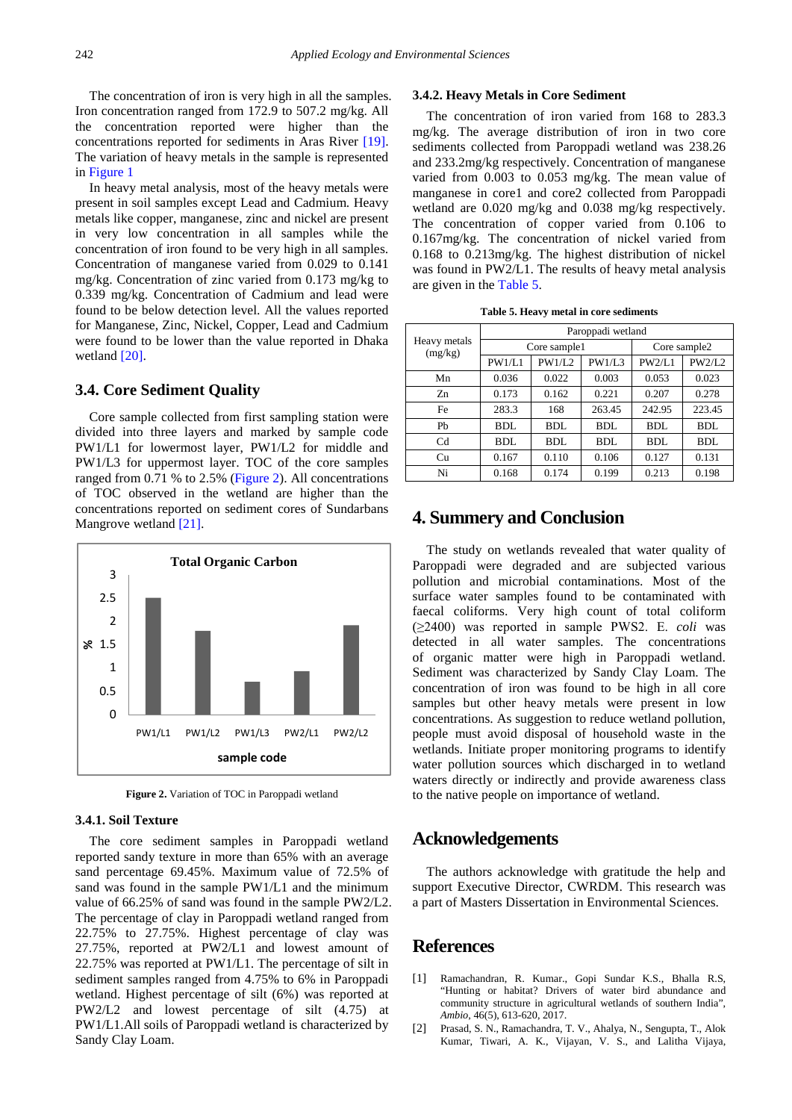The concentration of iron is very high in all the samples. Iron concentration ranged from 172.9 to 507.2 mg/kg. All the concentration reported were higher than the concentrations reported for sediments in Aras River [\[19\].](#page-4-16) The variation of heavy metals in the sample is represented in [Figure 1](#page-2-2)

In heavy metal analysis, most of the heavy metals were present in soil samples except Lead and Cadmium. Heavy metals like copper, manganese, zinc and nickel are present in very low concentration in all samples while the concentration of iron found to be very high in all samples. Concentration of manganese varied from 0.029 to 0.141 mg/kg. Concentration of zinc varied from 0.173 mg/kg to 0.339 mg/kg. Concentration of Cadmium and lead were found to be below detection level. All the values reported for Manganese, Zinc, Nickel, Copper, Lead and Cadmium were found to be lower than the value reported in Dhaka wetland [\[20\].](#page-4-17)

#### **3.4. Core Sediment Quality**

Core sample collected from first sampling station were divided into three layers and marked by sample code PW1/L1 for lowermost layer, PW1/L2 for middle and PW1/L3 for uppermost layer. TOC of the core samples ranged from 0.71 % to 2.5% [\(Figure 2\)](#page-3-2). All concentrations of TOC observed in the wetland are higher than the concentrations reported on sediment cores of Sundarbans Mangrove wetland [\[21\].](#page-4-18)

<span id="page-3-2"></span>

**Figure 2.** Variation of TOC in Paroppadi wetland

#### **3.4.1. Soil Texture**

The core sediment samples in Paroppadi wetland reported sandy texture in more than 65% with an average sand percentage 69.45%. Maximum value of 72.5% of sand was found in the sample PW1/L1 and the minimum value of 66.25% of sand was found in the sample PW2/L2. The percentage of clay in Paroppadi wetland ranged from 22.75% to 27.75%. Highest percentage of clay was 27.75%, reported at PW2/L1 and lowest amount of 22.75% was reported at PW1/L1. The percentage of silt in sediment samples ranged from 4.75% to 6% in Paroppadi wetland. Highest percentage of silt (6%) was reported at PW2/L2 and lowest percentage of silt (4.75) at PW1/L1.All soils of Paroppadi wetland is characterized by Sandy Clay Loam.

#### **3.4.2. Heavy Metals in Core Sediment**

The concentration of iron varied from 168 to 283.3 mg/kg. The average distribution of iron in two core sediments collected from Paroppadi wetland was 238.26 and 233.2mg/kg respectively. Concentration of manganese varied from 0.003 to 0.053 mg/kg. The mean value of manganese in core1 and core2 collected from Paroppadi wetland are 0.020 mg/kg and 0.038 mg/kg respectively. The concentration of copper varied from 0.106 to 0.167mg/kg. The concentration of nickel varied from 0.168 to 0.213mg/kg. The highest distribution of nickel was found in PW2/L1. The results of heavy metal analysis are given in the [Table 5.](#page-3-3)

<span id="page-3-3"></span>

| Heavy metals<br>(mg/kg) | Paroppadi wetland |        |            |              |            |
|-------------------------|-------------------|--------|------------|--------------|------------|
|                         | Core sample1      |        |            | Core sample2 |            |
|                         | PW1/L1            | PW1/L2 | PW1/L3     | PW2/L1       | PW2/L2     |
| Mn                      | 0.036             | 0.022  | 0.003      | 0.053        | 0.023      |
| Z <sub>n</sub>          | 0.173             | 0.162  | 0.221      | 0.207        | 0.278      |
| Fe                      | 283.3             | 168    | 263.45     | 242.95       | 223.45     |
| Ph                      | BDL               | BDL    | <b>BDL</b> | <b>BDL</b>   | <b>BDL</b> |
| C <sub>d</sub>          | BDL               | BDL    | <b>BDL</b> | <b>BDL</b>   | <b>BDL</b> |
| Cu                      | 0.167             | 0.110  | 0.106      | 0.127        | 0.131      |
| Ni                      | 0.168             | 0.174  | 0.199      | 0.213        | 0.198      |

## **4. Summery and Conclusion**

The study on wetlands revealed that water quality of Paroppadi were degraded and are subjected various pollution and microbial contaminations. Most of the surface water samples found to be contaminated with faecal coliforms. Very high count of total coliform (≥2400) was reported in sample PWS2. E. *coli* was detected in all water samples. The concentrations of organic matter were high in Paroppadi wetland. Sediment was characterized by Sandy Clay Loam. The concentration of iron was found to be high in all core samples but other heavy metals were present in low concentrations. As suggestion to reduce wetland pollution, people must avoid disposal of household waste in the wetlands. Initiate proper monitoring programs to identify water pollution sources which discharged in to wetland waters directly or indirectly and provide awareness class to the native people on importance of wetland.

## **Acknowledgements**

The authors acknowledge with gratitude the help and support Executive Director, CWRDM. This research was a part of Masters Dissertation in Environmental Sciences.

## **References**

- <span id="page-3-0"></span>[1] Ramachandran, R. Kumar., Gopi Sundar K.S., Bhalla R.S, "Hunting or habitat? Drivers of water bird abundance and community structure in agricultural wetlands of southern India", *Ambio*, 46(5), 613-620, 2017.
- <span id="page-3-1"></span>[2] Prasad, S. N., Ramachandra, T. V., Ahalya, N., Sengupta, T., Alok Kumar, Tiwari, A. K., Vijayan, V. S., and Lalitha Vijaya,